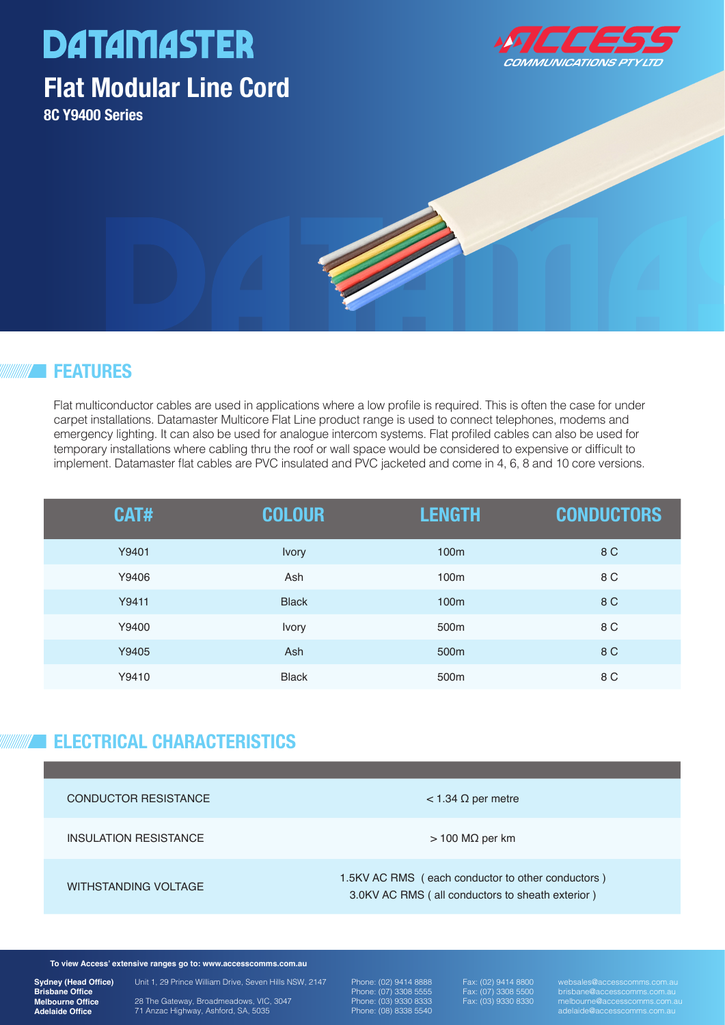# **DATAMASTER**

### **Flat Modular Line Cord**

**8C Y9400 Series**



#### **FEATURES**

Flat multiconductor cables are used in applications where a low profile is required. This is often the case for under carpet installations. Datamaster Multicore Flat Line product range is used to connect telephones, modems and emergency lighting. It can also be used for analogue intercom systems. Flat profiled cables can also be used for temporary installations where cabling thru the roof or wall space would be considered to expensive or difficult to implement. Datamaster flat cables are PVC insulated and PVC jacketed and come in 4, 6, 8 and 10 core versions.

| CAT#  | <b>COLOUR</b> | <b>LENGTH</b>    | <b>CONDUCTORS</b> |
|-------|---------------|------------------|-------------------|
| Y9401 | Ivory         | 100 <sub>m</sub> | 8 C               |
| Y9406 | Ash           | 100 <sub>m</sub> | 8 C               |
| Y9411 | <b>Black</b>  | 100m             | 8 C               |
| Y9400 | Ivory         | 500 <sub>m</sub> | 8 C               |
| Y9405 | Ash           | 500 <sub>m</sub> | 8 C               |
| Y9410 | <b>Black</b>  | 500 <sub>m</sub> | 8 C               |

#### **ELECTRICAL CHARACTERISTICS**

| <b>CONDUCTOR RESISTANCE</b> | $<$ 1.34 $\Omega$ per metre                                                                           |
|-----------------------------|-------------------------------------------------------------------------------------------------------|
| INSULATION RESISTANCE       | $>$ 100 M $\Omega$ per km                                                                             |
| WITHSTANDING VOLTAGE        | 1.5KV AC RMS (each conductor to other conductors)<br>3.0KV AC RMS (all conductors to sheath exterior) |

**To view Access' extensive ranges go to: www.accesscomms.com.au**

**Sydney (Head Office) Brisbane Office Melbourne Office Adelaide Office**

Unit 1, 29 Prince William Drive, Seven Hills NSW, 2147 28 The Gateway, Broadmeadows, VIC, 3047 71 Anzac Highway, Ashford, SA, 5035

Phone: (02) 9414 8888 Phone: (07) 3308 5555 Phone: (03) 9330 8333 Phone: (08) 8338 5540

Fax: (07) 3308 5500 Fax: (03) 9330 8330

websales@accesscomms.com.au brisbane@accesscomms.com.au melbourne@accesscomms.com.au adelaide@accesscomms.com.au